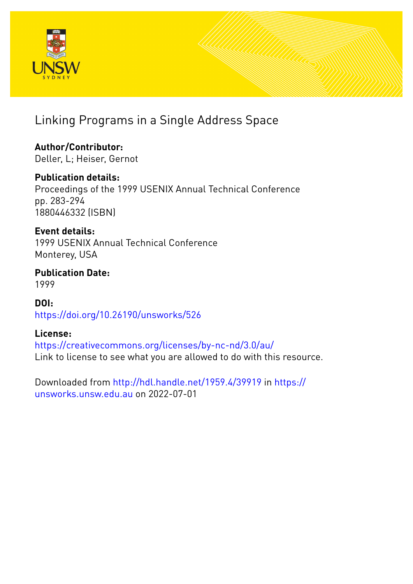

# Linking Programs in a Single Address Space

**Author/Contributor:** Deller, L; Heiser, Gernot

**Publication details:** Proceedings of the 1999 USENIX Annual Technical Conference pp. 283-294 1880446332 (ISBN)

**Event details:** 1999 USENIX Annual Technical Conference Monterey, USA

**Publication Date:** 1999

**DOI:** [https://doi.org/10.26190/unsworks/526](http://dx.doi.org/https://doi.org/10.26190/unsworks/526)

# **License:**

<https://creativecommons.org/licenses/by-nc-nd/3.0/au/> Link to license to see what you are allowed to do with this resource.

Downloaded from <http://hdl.handle.net/1959.4/39919> in [https://](https://unsworks.unsw.edu.au) [unsworks.unsw.edu.au](https://unsworks.unsw.edu.au) on 2022-07-01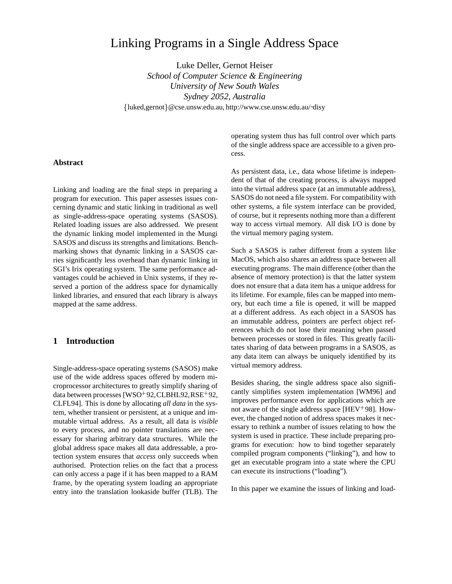# Linking Programs in a Single Address Space

Luke Deller, Gernot Heiser

*School of Computer Science & Engineering University of New South Wales Sydney 2052, Australia* {luked,gernot}@cse.unsw.edu.au, http://www.cse.unsw.edu.au/~disy

#### **Abstract**

y

Linking and loading are the final steps in preparing a program for execution. This paper assesses issues concerning dynamic and static linking in traditional as well as single-address-space operating systems (SASOS). Related loading issues are also addressed. We present the dynamic linking model implemented in the Mungi SASOS and discuss its strengths and limitations. Benchmarking shows that dynamic linking in a SASOS carries significantly less overhead than dynamic linking in SGI's Irix operating system. The same performance advantages could be achieved in Unix systems, if they reserved a portion of the address space for dynamically linked libraries, and ensured that each library is always mapped at the same address.

# **1 Introduction**

Single-address-space operating systems (SASOS) make use of the wide address spaces offered by modern microprocessor architectures to greatly simplify sharing of data between processes [WSO<sup>+</sup>92,CLBHL92,RSE<sup>+</sup>92, CLFL94]. This is done by allocating *all data* in the system, whether transient or persistent, at a unique and immutable virtual address. As a result, all data is *visible* to every process, and no pointer translations are necessary for sharing arbitrary data structures. While the global address space makes all data addressable, a protection system ensures that *access* only succeeds when authorised. Protection relies on the fact that a process can only access a page if it has been mapped to a RAM frame, by the operating system loading an appropriate entry into the translation lookaside buffer (TLB). The

operating system thus has full control over which parts of the single address space are accessible to a given process.

As persistent data, i.e., data whose lifetime is independent of that of the creating process, is always mapped into the virtual address space (at an immutable address), SASOS do not need a file system. For compatibility with other systems, a file system interface can be provided, of course, but it represents nothing more than a different way to access virtual memory. All disk I/O is done by the virtual memory paging system.

Such a SASOS is rather different from a system like MacOS, which also shares an address space between all executing programs. The main difference (other than the absence of memory protection) is that the latter system does not ensure that a data item has a unique address for its lifetime. For example, files can be mapped into memory, but each time a file is opened, it will be mapped at a different address. As each object in a SASOS has an immutable address, pointers are perfect object references which do not lose their meaning when passed between processes or stored in files. This greatly facilitates sharing of data between programs in a SASOS, as any data item can always be uniquely identified by its virtual memory address.

Besides sharing, the single address space also significantly simplifies system implementation [WM96] and improves performance even for applications which are not aware of the single address space [HEV 98]. However, the changed notion of address spaces makes it necessary to rethink a number of issues relating to how the system is used in practice. These include preparing programs for execution: how to bind together separately compiled program components ("linking"), and how to get an executable program into a state where the CPU can execute its instructions ("loading").

In this paper we examine the issues of linking and load-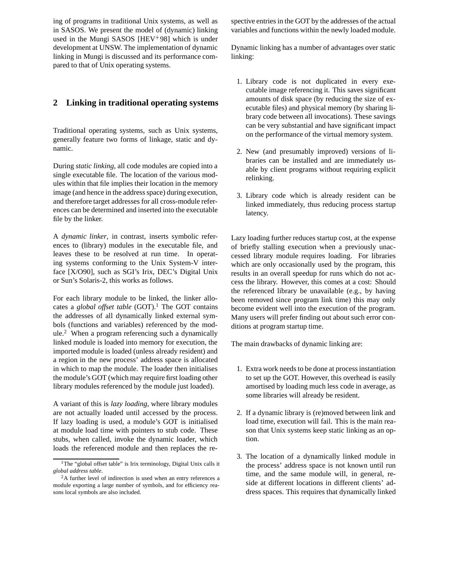ing of programs in traditional Unix systems, as well as in SASOS. We present the model of (dynamic) linking used in the Mungi SASOS [HEV 98] which is under development at UNSW. The implementation of dynamic linking in Mungi is discussed and its performance compared to that of Unix operating systems.

# **2 Linking in traditional operating systems**

Traditional operating systems, such as Unix systems, generally feature two forms of linkage, static and dynamic.

During *static linking*, all code modules are copied into a single executable file. The location of the various modules within that file implies their location in the memory image (and hence in the address space) during execution, and therefore target addresses for all cross-module references can be determined and inserted into the executable file by the linker.

A *dynamic linker*, in contrast, inserts symbolic references to (library) modules in the executable file, and leaves these to be resolved at run time. In operating systems conforming to the Unix System-V interface [X/O90], such as SGI's Irix, DEC's Digital Unix or Sun's Solaris-2, this works as follows.

For each library module to be linked, the linker allocates a *global offset table* (GOT).<sup>1</sup> The GOT contains the addresses of all dynamically linked external symbols (functions and variables) referenced by the module.<sup>2</sup> When a program referencing such a dynamically linked module is loaded into memory for execution, the imported module is loaded (unless already resident) and a region in the new process' address space is allocated in which to map the module. The loader then initialises the module's GOT (which may require first loading other library modules referenced by the module just loaded).

A variant of this is *lazy loading*, where library modules are not actually loaded until accessed by the process. If lazy loading is used, a module's GOT is initialised at module load time with pointers to stub code. These stubs, when called, invoke the dynamic loader, which loads the referenced module and then replaces the respective entries in the GOT by the addresses of the actual variables and functions within the newly loaded module.

Dynamic linking has a number of advantages over static linking:

- 1. Library code is not duplicated in every executable image referencing it. This saves significant amounts of disk space (by reducing the size of executable files) and physical memory (by sharing library code between all invocations). These savings can be very substantial and have significant impact on the performance of the virtual memory system.
- 2. New (and presumably improved) versions of libraries can be installed and are immediately usable by client programs without requiring explicit relinking.
- 3. Library code which is already resident can be linked immediately, thus reducing process startup latency.

Lazy loading further reduces startup cost, at the expense of briefly stalling execution when a previously unaccessed library module requires loading. For libraries which are only occasionally used by the program, this results in an overall speedup for runs which do not access the library. However, this comes at a cost: Should the referenced library be unavailable (e.g., by having been removed since program link time) this may only become evident well into the execution of the program. Many users will prefer finding out about such error conditions at program startup time.

The main drawbacks of dynamic linking are:

- 1. Extra work needs to be done at process instantiation to set up the GOT. However, this overhead is easily amortised by loading much less code in average, as some libraries will already be resident.
- 2. If a dynamic library is (re)moved between link and load time, execution will fail. This is the main reason that Unix systems keep static linking as an option.
- 3. The location of a dynamically linked module in the process' address space is not known until run time, and the same module will, in general, reside at different locations in different clients' address spaces. This requires that dynamically linked

<sup>&</sup>lt;sup>1</sup>The "global offset table" is Irix terminology, Digital Unix calls it *global address table*.

<sup>&</sup>lt;sup>2</sup>A further level of indirection is used when an entry references a module exporting a large number of symbols, and for efficiency reasons local symbols are also included.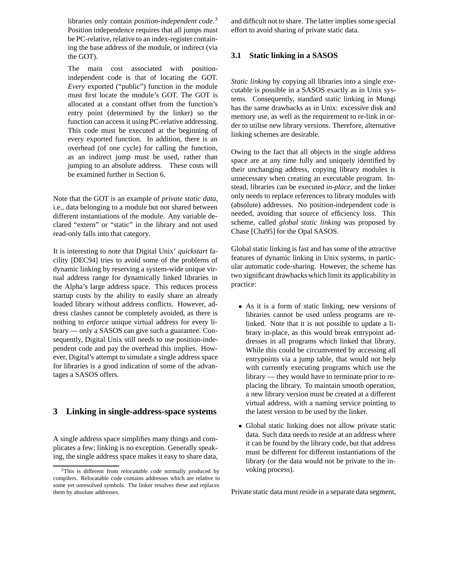libraries only contain *position-independent code*. 3 Position independence requires that all jumps must be PC-relative, relative to an index-register containing the base address of the module, or indirect (via the GOT).

The main cost associated with positionindependent code is that of locating the GOT. *Every* exported ("public") function in the module must first locate the module's GOT. The GOT is allocated at a constant offset from the function's entry point (determined by the linker) so the function can access it using PC-relative addressing. This code must be executed at the beginning of every exported function. In addition, there is an overhead (of one cycle) for calling the function, as an indirect jump must be used, rather than jumping to an absolute address. These costs will be examined further in Section 6.

Note that the GOT is an example of *private static data*, i.e., data belonging to a module but not shared between different instantiations of the module. Any variable declared "extern" or "static" in the library and not used read-only falls into that category.

It is interesting to note that Digital Unix' *quickstart* facility [DEC94] tries to avoid some of the problems of dynamic linking by reserving a system-wide unique virtual address range for dynamically linked libraries in the Alpha's large address space. This reduces process startup costs by the ability to easily share an already loaded library without address conflicts. However, address clashes cannot be completely avoided, as there is nothing to *enforce* unique virtual address for every library — only a SASOS can give such a guarantee. Consequently, Digital Unix still needs to use position-independent code and pay the overhead this implies. However, Digital's attempt to simulate a single address space for libraries is a good indication of some of the advantages a SASOS offers.

# **3 Linking in single-address-space systems**

A single address space simplifies many things and complicates a few; linking is no exception. Generally speaking, the single address space makes it easy to share data, and difficult not to share. The latter implies some special effort to avoid sharing of private static data.

# **3.1 Static linking in a SASOS**

*Static linking* by copying all libraries into a single executable is possible in a SASOS exactly as in Unix systems. Consequently, standard static linking in Mungi has the same drawbacks as in Unix: excessive disk and memory use, as well as the requirement to re-link in order to utilise new library versions. Therefore, alternative linking schemes are desirable.

Owing to the fact that all objects in the single address space are at any time fully and uniquely identified by their unchanging address, copying library modules is unnecessary when creating an executable program. Instead, libraries can be executed *in-place*, and the linker only needs to replace references to library modules with (absolute) addresses. No position-independent code is needed, avoiding that source of efficiency loss. This scheme, called *global static linking* was proposed by Chase [Cha95] for the Opal SASOS.

Global static linking is fast and has some of the attractive features of dynamic linking in Unix systems, in particular automatic code-sharing. However, the scheme has two significant drawbacks which limit its applicability in practice:

- As it is a form of static linking, new versions of libraries cannot be used unless programs are relinked. Note that it is not possible to update a library in-place, as this would break entrypoint addresses in all programs which linked that library. While this could be circumvented by accessing all entrypoints via a jump table, that would not help with currently executing programs which use the library — they would have to terminate prior to replacing the library. To maintain smooth operation, a new library version must be created at a different virtual address, with a naming service pointing to the latest version to be used by the linker.
- Global static linking does not allow private static data. Such data needs to reside at an address where it can be found by the library code, but that address must be different for different instantiations of the library (or the data would not be private to the invoking process).

Private static data must reside in a separate data segment,

<sup>3</sup>This is different from *relocatable code* normally produced by compilers. Relocatable code contains addresses which are relative to some yet unresolved symbols. The linker resolves these and replaces them by absolute addresses.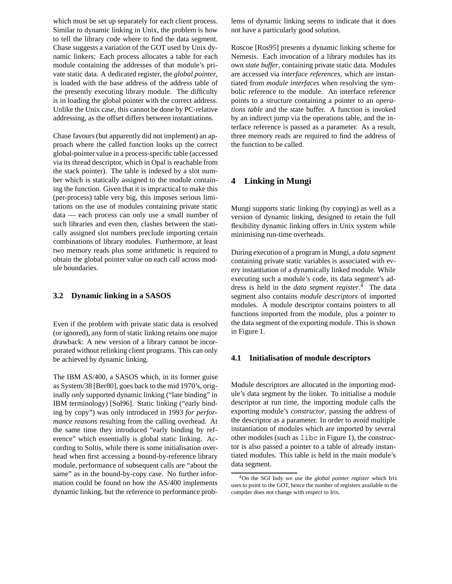which must be set up separately for each client process. Similar to dynamic linking in Unix, the problem is how to tell the library code where to find the data segment. Chase suggests a variation of the GOT used by Unix dynamic linkers: Each process allocates a table for each module containing the addresses of that module's private static data. A dedicated register, the *global pointer*, is loaded with the base address of the address table of the presently executing library module. The difficulty is in loading the global pointer with the correct address. Unlike the Unix case, this cannot be done by PC-relative addressing, as the offset differs between instantiations.

Chase favours (but apparently did not implement) an approach where the called function looks up the correct global-pointer value in a process-specific table (accessed via its thread descriptor, which in Opal is reachable from the stack pointer). The table is indexed by a slot number which is statically assigned to the module containing the function. Given that it is impractical to make this (per-process) table very big, this imposes serious limitations on the use of modules containing private static data — each process can only use a small number of such libraries and even then, clashes between the statically assigned slot numbers preclude importing certain combinations of library modules. Furthermore, at least two memory reads plus some arithmetic is required to obtain the global pointer value on each call across module boundaries.

# **3.2 Dynamic linking in a SASOS**

Even if the problem with private static data is resolved (or ignored), any form of static linking retains one major drawback: A new version of a library cannot be incorporated without relinking client programs. This can only be achieved by dynamic linking.

The IBM AS/400, a SASOS which, in its former guise as System/38 [Ber80], goes back to the mid 1970's, originally *only* supported dynamic linking ("late binding" in IBM terminology) [Sol96]. Static linking ("early binding by copy") was only introduced in 1993 *for performance reasons* resulting from the calling overhead. At the same time they introduced "early binding by reference" which essentially is global static linking. According to Soltis, while there is some initialisation overhead when first accessing a bound-by-reference library module, performance of subsequent calls are "about the same" as in the bound-by-copy case. No further information could be found on how the AS/400 implements dynamic linking, but the reference to performance problems of dynamic linking seems to indicate that it does not have a particularly good solution.

Roscoe [Ros95] presents a dynamic linking scheme for Nemesis. Each invocation of a library modules has its own *state buffer*, containing private static data. Modules are accessed via *interface references*, which are instantiated from *module interfaces* when resolving the symbolic reference to the module. An interface reference points to a structure containing a pointer to an *operations table* and the state buffer. A function is invoked by an indirect jump via the operations table, and the interface reference is passed as a parameter. As a result, three memory reads are required to find the address of the function to be called.

# **4 Linking in Mungi**

Mungi supports static linking (by copying) as well as a version of dynamic linking, designed to retain the full flexibility dynamic linking offers in Unix system while minimising run-time overheads.

During execution of a program in Mungi, a *data segment* containing private static variables is associated with every instantiation of a dynamically linked module. While executing such a module's code, its data segment's address is held in the *data segment register*. <sup>4</sup> The data segment also contains *module descriptors* of imported modules. A module descriptor contains pointers to all functions imported from the module, plus a pointer to the data segment of the exporting module. This is shown in Figure 1.

#### **4.1 Initialisation of module descriptors**

Module descriptors are allocated in the importing module's data segment by the linker. To initialise a module descriptor at run time, the importing module calls the exporting module's *constructor*, passing the address of the descriptor as a parameter. In order to avoid multiple instantiation of modules which are imported by several other modules (such as libc in Figure 1), the constructor is also passed a pointer to a table of already instantiated modules. This table is held in the main module's data segment.

<sup>4</sup>On the SGI Indy we use the *global pointer register* which Irix uses to point to the GOT, hence the number of registers available to the compiler does not change with respect to Irix.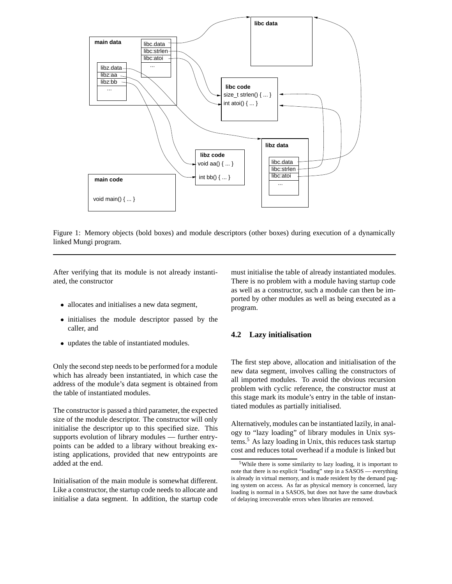

Figure 1: Memory objects (bold boxes) and module descriptors (other boxes) during execution of a dynamically linked Mungi program.

After verifying that its module is not already instantiated, the constructor

- allocates and initialises a new data segment,
- initialises the module descriptor passed by the caller, and
- updates the table of instantiated modules.

Only the second step needs to be performed for a module which has already been instantiated, in which case the address of the module's data segment is obtained from the table of instantiated modules.

The constructor is passed a third parameter, the expected size of the module descriptor. The constructor will only initialise the descriptor up to this specified size. This supports evolution of library modules — further entrypoints can be added to a library without breaking existing applications, provided that new entrypoints are added at the end.

Initialisation of the main module is somewhat different. Like a constructor, the startup code needs to allocate and initialise a data segment. In addition, the startup code must initialise the table of already instantiated modules. There is no problem with a module having startup code as well as a constructor, such a module can then be imported by other modules as well as being executed as a program.

# **4.2 Lazy initialisation**

The first step above, allocation and initialisation of the new data segment, involves calling the constructors of all imported modules. To avoid the obvious recursion problem with cyclic reference, the constructor must at this stage mark its module's entry in the table of instantiated modules as partially initialised.

Alternatively, modules can be instantiated lazily, in analogy to "lazy loading" of library modules in Unix systems.5 As lazy loading in Unix, this reduces task startup cost and reduces total overhead if a module is linked but

<sup>&</sup>lt;sup>5</sup>While there is some similarity to lazy loading, it is important to note that there is no explicit "loading" step in a SASOS — everything is already in virtual memory, and is made resident by the demand paging system on access. As far as physical memory is concerned, lazy loading is normal in a SASOS, but does not have the same drawback of delaying irrecoverable errors when libraries are removed.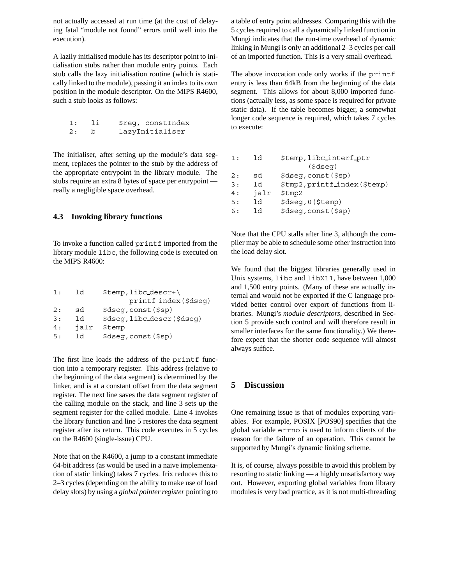not actually accessed at run time (at the cost of delaying fatal "module not found" errors until well into the execution).

A lazily initialised module has its descriptor point to initialisation stubs rather than module entry points. Each stub calls the lazy initialisation routine (which is statically linked to the module), passing it an index to its own position in the module descriptor. On the MIPS R4600, such a stub looks as follows:

| 1: | - 1i         | \$reg, constIndex |
|----|--------------|-------------------|
| 2: | $\mathbf{b}$ | lazyInitialiser   |

The initialiser, after setting up the module's data segment, replaces the pointer to the stub by the address of the appropriate entrypoint in the library module. The stubs require an extra 8 bytes of space per entrypoint really a negligible space overhead.

#### **4.3 Invoking library functions**

To invoke a function called printf imported from the library module libc, the following code is executed on the MIPS R4600:

| 1:  | 1 d  | $$temp, like desert\$                        |
|-----|------|----------------------------------------------|
|     |      | printf_index(\$dseq)                         |
| 2:  | sd   | $\frac{1}{2}$ dseq, const $(\frac{1}{2}$ sp) |
| 3 : | 1d   | \$dseq, libc_descr(\$dseq)                   |
| 4 : | jalr | \$temp                                       |
| 5 : | 1 d  | \$dseq, const (\$sp)                         |

The first line loads the address of the printf function into a temporary register. This address (relative to the beginning of the data segment) is determined by the linker, and is at a constant offset from the data segment register. The next line saves the data segment register of the calling module on the stack, and line 3 sets up the segment register for the called module. Line 4 invokes the library function and line 5 restores the data segment register after its return. This code executes in 5 cycles on the R4600 (single-issue) CPU.

Note that on the R4600, a jump to a constant immediate 64-bit address (as would be used in a naive implementation of static linking) takes 7 cycles. Irix reduces this to 2–3 cycles (depending on the ability to make use of load delay slots) by using a *global pointer register* pointing to

a table of entry point addresses. Comparing this with the 5 cycles required to call a dynamically linked function in Mungi indicates that the run-time overhead of dynamic linking in Mungi is only an additional 2–3 cycles per call of an imported function. This is a very small overhead.

The above invocation code only works if the printf entry is less than 64kB from the beginning of the data segment. This allows for about 8,000 imported functions (actually less, as some space is required for private static data). If the table becomes bigger, a somewhat longer code sequence is required, which takes 7 cycles to execute:

| 1:  | ld   | \$temp, libc_interf_ptr      |  |  |  |  |
|-----|------|------------------------------|--|--|--|--|
|     |      | $(s$ dseq $)$                |  |  |  |  |
| 2:  | sd   | \$dseq, const (\$sp)         |  |  |  |  |
| 3 : | 1d   | \$tmp2, printf_index(\$temp) |  |  |  |  |
| 4 : | jalr | \$tmp2                       |  |  |  |  |
| 5:  | 1d   | \$dseq, 0 (\$temp)           |  |  |  |  |
| 6 : | 1٩   | \$dseq, const (\$sp)         |  |  |  |  |
|     |      |                              |  |  |  |  |

Note that the CPU stalls after line 3, although the compiler may be able to schedule some other instruction into the load delay slot.

We found that the biggest libraries generally used in Unix systems, libc and libX11, have between 1,000 and 1,500 entry points. (Many of these are actually internal and would not be exported if the C language provided better control over export of functions from libraries. Mungi's *module descriptors*, described in Section 5 provide such control and will therefore result in smaller interfaces for the same functionality.) We therefore expect that the shorter code sequence will almost always suffice.

# **5 Discussion**

One remaining issue is that of modules exporting variables. For example, POSIX [POS90] specifies that the global variable errno is used to inform clients of the reason for the failure of an operation. This cannot be supported by Mungi's dynamic linking scheme.

It is, of course, always possible to avoid this problem by resorting to static linking — a highly unsatisfactory way out. However, exporting global variables from library modules is very bad practice, as it is not multi-threading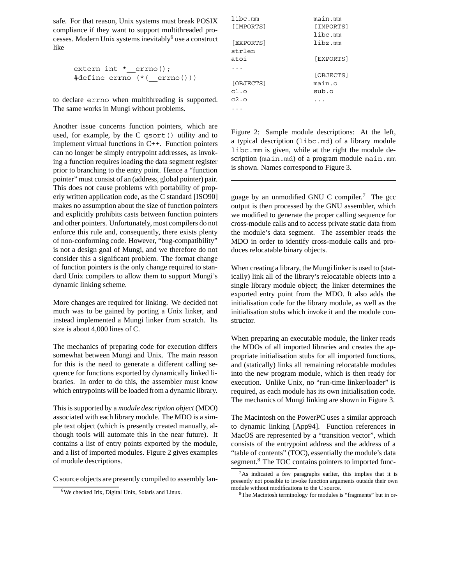safe. For that reason, Unix systems must break POSIX compliance if they want to support multithreaded processes. Modern Unix systems inevitably<sup>6</sup> use a construct like

```
extern int * errno();
#define errno (*(__errno()))
```
to declare errno when multithreading is supported. The same works in Mungi without problems.

Another issue concerns function pointers, which are used, for example, by the C qsort() utility and to implement virtual functions in C++. Function pointers can no longer be simply entrypoint addresses, as invoking a function requires loading the data segment register prior to branching to the entry point. Hence a "function pointer" must consist of an (address, global pointer) pair. This does not cause problems with portability of properly written application code, as the C standard [ISO90] makes no assumption about the size of function pointers and explicitly prohibits casts between function pointers and other pointers. Unfortunately, most compilers do not enforce this rule and, consequently, there exists plenty of non-conforming code. However, "bug-compatibility" is not a design goal of Mungi, and we therefore do not consider this a significant problem. The format change of function pointers is the only change required to standard Unix compilers to allow them to support Mungi's dynamic linking scheme.

More changes are required for linking. We decided not much was to be gained by porting a Unix linker, and instead implemented a Mungi linker from scratch. Its size is about 4,000 lines of C.

The mechanics of preparing code for execution differs somewhat between Mungi and Unix. The main reason for this is the need to generate a different calling sequence for functions exported by dynamically linked libraries. In order to do this, the assembler must know which entrypoints will be loaded from a dynamic library.

This is supported by a *module description object* (MDO) associated with each library module. The MDO is a simple text object (which is presently created manually, although tools will automate this in the near future). It contains a list of entry points exported by the module, and a list of imported modules. Figure 2 gives examples of module descriptions.

C source objects are presently compiled to assembly lan-

| libc.mm   | main.mm   |
|-----------|-----------|
| [IMPORTS] | [IMPORTS] |
|           | libc.mm   |
| [EXPORTS] | libz.mm   |
| strlen    |           |
| atoi      | [EXPORTS] |
|           |           |
|           | [OBJECTS] |
| [OBJECTS] | main.o    |
| c1.o      | sub.o     |
| c2.o      |           |
|           |           |

Figure 2: Sample module descriptions: At the left, a typical description (libc.md) of a library module libc.mm is given, while at the right the module description (main.md) of a program module main.mm is shown. Names correspond to Figure 3.

guage by an unmodified GNU C compiler.<sup>7</sup> The gcc output is then processed by the GNU assembler, which we modified to generate the proper calling sequence for cross-module calls and to access private static data from the module's data segment. The assembler reads the MDO in order to identify cross-module calls and produces relocatable binary objects.

When creating a library, the Mungi linker is used to (statically) link all of the library's relocatable objects into a single library module object; the linker determines the exported entry point from the MDO. It also adds the initialisation code for the library module, as well as the initialisation stubs which invoke it and the module constructor.

When preparing an executable module, the linker reads the MDOs of all imported libraries and creates the appropriate initialisation stubs for all imported functions, and (statically) links all remaining relocatable modules into the new program module, which is then ready for execution. Unlike Unix, no "run-time linker/loader" is required, as each module has its own initialisation code. The mechanics of Mungi linking are shown in Figure 3.

The Macintosh on the PowerPC uses a similar approach to dynamic linking [App94]. Function references in MacOS are represented by a "transition vector", which consists of the entrypoint address and the address of a "table of contents" (TOC), essentially the module's data segment.<sup>8</sup> The TOC contains pointers to imported func-

<sup>6</sup>We checked Irix, Digital Unix, Solaris and Linux.

<sup>7</sup>As indicated a few paragraphs earlier, this implies that it is presently not possible to invoke function arguments outside their own module without modifications to the C source.

<sup>8</sup>The Macintosh terminology for modules is "fragments" but in or-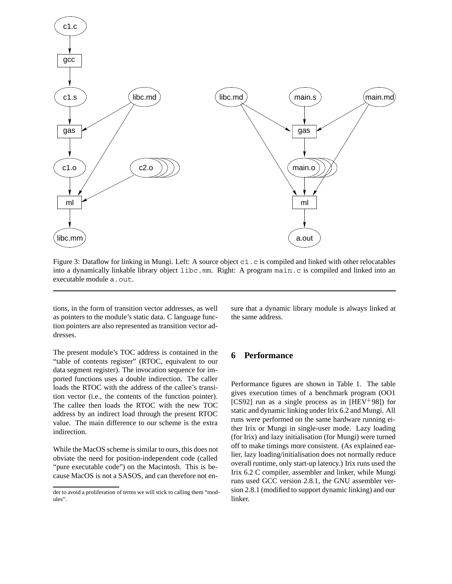

Figure 3: Dataflow for linking in Mungi. Left: A source object c1.c is compiled and linked with other relocatables into a dynamically linkable library object libc.mm. Right: A program main.c is compiled and linked into an executable module a.out.

tions, in the form of transition vector addresses, as well as pointers to the module's static data. C language function pointers are also represented as transition vector addresses.

The present module's TOC address is contained in the "table of contents register" (RTOC, equivalent to our data segment register). The invocation sequence for imported functions uses a double indirection. The caller loads the RTOC with the address of the callee's transition vector (i.e., the contents of the function pointer). The callee then loads the RTOC with the new TOC address by an indirect load through the present RTOC value. The main difference to our scheme is the extra indirection.

While the MacOS scheme is similar to ours, this does not obviate the need for position-independent code (called "pure executable code") on the Macintosh. This is because MacOS is not a SASOS, and can therefore not ensure that a dynamic library module is always linked at the same address.

### **6 Performance**

Performance figures are shown in Table 1. The table gives execution times of a benchmark program (OO1 [CS92] run as a single process as in [HEV 98]) for static and dynamic linking under Irix 6.2 and Mungi. All runs were performed on the same hardware running either Irix or Mungi in single-user mode. Lazy loading (for Irix) and lazy initialisation (for Mungi) were turned off to make timings more consistent. (As explained earlier, lazy loading/initialisation does not normally reduce overall runtime, only start-up latency.) Irix runs used the Irix 6.2 C compiler, assembler and linker, while Mungi runs used GCC version 2.8.1, the GNU assembler version 2.8.1 (modified to support dynamic linking) and our linker.

der to avoid a proliferation of terms we will stick to calling them "modules".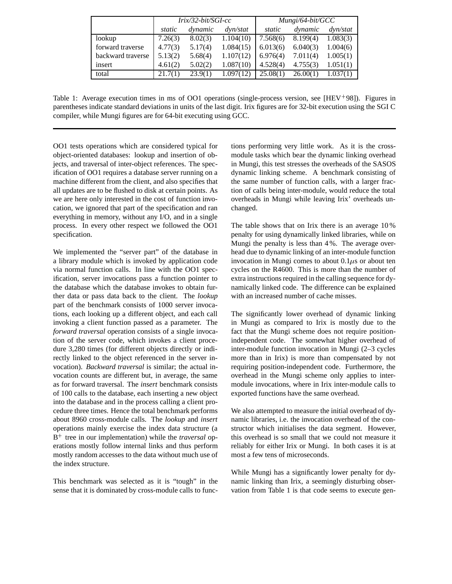|                   | $Irix/32-bit/SGI-cc$ |         |               | $Mungi/64-bit/GCC$ |          |                   |
|-------------------|----------------------|---------|---------------|--------------------|----------|-------------------|
|                   | static               | dynamic | $\frac{d}{v}$ | static             | dynamic  | $\frac{dw}{stat}$ |
| lookup            | 7.26(3)              | 8.02(3) | 1.104(10)     | 7.568(6)           | 8.199(4) | 1.083(3)          |
| forward traverse  | 4.77(3)              | 5.17(4) | 1.084(15)     | 6.013(6)           | 6.040(3) | 1.004(6)          |
| backward traverse | 5.13(2)              | 5.68(4) | 1.107(12)     | 6.976(4)           | 7.011(4) | 1.005(1)          |
| insert            | 4.61(2)              | 5.02(2) | 1.087(10)     | 4.528(4)           | 4.755(3) | 1.051(1)          |
| total             | 21.7(1)              | 23.9(1) | 1.097(12)     | 25.08(1)           | 26.00(1) | 1.037(1)          |

Table 1: Average execution times in ms of OO1 operations (single-process version, see [HEV 98]). Figures in parentheses indicate standard deviations in units of the last digit. Irix figures are for 32-bit execution using the SGI C compiler, while Mungi figures are for 64-bit executing using GCC.

OO1 tests operations which are considered typical for object-oriented databases: lookup and insertion of objects, and traversal of inter-object references. The specification of OO1 requires a database server running on a machine different from the client, and also specifies that all updates are to be flushed to disk at certain points. As we are here only interested in the cost of function invocation, we ignored that part of the specification and ran everything in memory, without any I/O, and in a single process. In every other respect we followed the OO1 specification.

We implemented the "server part" of the database in a library module which is invoked by application code via normal function calls. In line with the OO1 specification, server invocations pass a function pointer to the database which the database invokes to obtain further data or pass data back to the client. The *lookup* part of the benchmark consists of 1000 server invocations, each looking up a different object, and each call invoking a client function passed as a parameter. The *forward traversal* operation consists of a single invocation of the server code, which invokes a client procedure 3,280 times (for different objects directly or indirectly linked to the object referenced in the server invocation). *Backward traversal* is similar; the actual invocation counts are different but, in average, the same as for forward traversal. The *insert* benchmark consists of 100 calls to the database, each inserting a new object into the database and in the process calling a client procedure three times. Hence the total benchmark performs about 8960 cross-module calls. The *lookup* and *insert* operations mainly exercise the index data structure (a B<sup>+</sup> tree in our implementation) while the *traversal* operations mostly follow internal links and thus perform mostly random accesses to the data without much use of the index structure.

This benchmark was selected as it is "tough" in the sense that it is dominated by cross-module calls to functions performing very little work. As it is the crossmodule tasks which bear the dynamic linking overhead in Mungi, this test stresses the overheads of the SASOS dynamic linking scheme. A benchmark consisting of the same number of function calls, with a larger fraction of calls being inter-module, would reduce the total overheads in Mungi while leaving Irix' overheads unchanged.

The table shows that on Irix there is an average 10 % penalty for using dynamically linked libraries, while on Mungi the penalty is less than 4 %. The average overhead due to dynamic linking of an inter-module function invocation in Mungi comes to about  $0.1 \mu s$  or about ten cycles on the R4600. This is more than the number of extra instructions required in the calling sequence for dynamically linked code. The difference can be explained with an increased number of cache misses.

The significantly lower overhead of dynamic linking in Mungi as compared to Irix is mostly due to the fact that the Mungi scheme does not require positionindependent code. The somewhat higher overhead of inter-module function invocation in Mungi (2–3 cycles more than in Irix) is more than compensated by not requiring position-independent code. Furthermore, the overhead in the Mungi scheme only applies to intermodule invocations, where in Irix inter-module calls to exported functions have the same overhead.

We also attempted to measure the initial overhead of dynamic libraries, i.e. the invocation overhead of the constructor which initialises the data segment. However, this overhead is so small that we could not measure it reliably for either Irix or Mungi. In both cases it is at most a few tens of microseconds.

While Mungi has a significantly lower penalty for dynamic linking than Irix, a seemingly disturbing observation from Table 1 is that code seems to execute gen-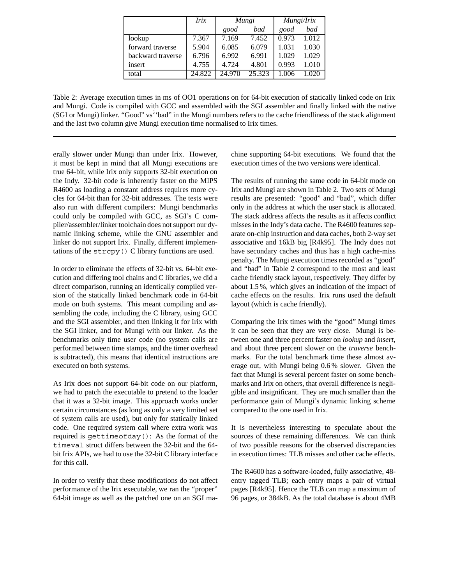|                   | Irix   | Mungi  |        | Mungi/Irix |       |
|-------------------|--------|--------|--------|------------|-------|
|                   |        | good   | bad    | good       | bad   |
| lookup            | 7.367  | 7.169  | 7.452  | 0.973      | 1.012 |
| forward traverse  | 5.904  | 6.085  | 6.079  | 1.031      | 1.030 |
| backward traverse | 6.796  | 6.992  | 6.991  | 1.029      | 1.029 |
| insert            | 4.755  | 4.724  | 4.801  | 0.993      | 1.010 |
| total             | 24.822 | 24.970 | 25.323 |            |       |

Table 2: Average execution times in ms of OO1 operations on for 64-bit execution of statically linked code on Irix and Mungi. Code is compiled with GCC and assembled with the SGI assembler and finally linked with the native (SGI or Mungi) linker. "Good" vs˙''bad" in the Mungi numbers refers to the cache friendliness of the stack alignment and the last two column give Mungi execution time normalised to Irix times.

erally slower under Mungi than under Irix. However, it must be kept in mind that all Mungi executions are true 64-bit, while Irix only supports 32-bit execution on the Indy. 32-bit code is inherently faster on the MIPS R4600 as loading a constant address requires more cycles for 64-bit than for 32-bit addresses. The tests were also run with different compilers: Mungi benchmarks could only be compiled with GCC, as SGI's C compiler/assembler/linker toolchain does not support our dynamic linking scheme, while the GNU assembler and linker do not support Irix. Finally, different implementations of the strcpy() C library functions are used.

In order to eliminate the effects of 32-bit vs. 64-bit execution and differing tool chains and C libraries, we did a direct comparison, running an identically compiled version of the statically linked benchmark code in 64-bit mode on both systems. This meant compiling and assembling the code, including the C library, using GCC and the SGI assembler, and then linking it for Irix with the SGI linker, and for Mungi with our linker. As the benchmarks only time user code (no system calls are performed between time stamps, and the timer overhead is subtracted), this means that identical instructions are executed on both systems.

As Irix does not support 64-bit code on our platform, we had to patch the executable to pretend to the loader that it was a 32-bit image. This approach works under certain circumstances (as long as only a very limited set of system calls are used), but only for statically linked code. One required system call where extra work was required is gettimeofday(): As the format of the timeval struct differs between the 32-bit and the 64 bit Irix APIs, we had to use the 32-bit C library interface for this call.

In order to verify that these modifications do not affect performance of the Irix executable, we ran the "proper" 64-bit image as well as the patched one on an SGI machine supporting 64-bit executions. We found that the execution times of the two versions were identical.

The results of running the same code in 64-bit mode on Irix and Mungi are shown in Table 2. Two sets of Mungi results are presented: "good" and "bad", which differ only in the address at which the user stack is allocated. The stack address affects the results as it affects conflict misses in the Indy's data cache. The R4600 features separate on-chip instruction and data caches, both 2-way set associative and 16kB big [R4k95]. The Indy does not have secondary caches and thus has a high cache-miss penalty. The Mungi execution times recorded as "good" and "bad" in Table 2 correspond to the most and least cache friendly stack layout, respectively. They differ by about 1.5 %, which gives an indication of the impact of cache effects on the results. Irix runs used the default layout (which is cache friendly).

Comparing the Irix times with the "good" Mungi times it can be seen that they are very close. Mungi is between one and three percent faster on *lookup* and *insert*, and about three percent slower on the *traverse* benchmarks. For the total benchmark time these almost average out, with Mungi being 0.6 % slower. Given the fact that Mungi is several percent faster on some benchmarks and Irix on others, that overall difference is negligible and insignificant. They are much smaller than the performance gain of Mungi's dynamic linking scheme compared to the one used in Irix.

It is nevertheless interesting to speculate about the sources of these remaining differences. We can think of two possible reasons for the observed discrepancies in execution times: TLB misses and other cache effects.

The R4600 has a software-loaded, fully associative, 48 entry tagged TLB; each entry maps a pair of virtual pages [R4k95]. Hence the TLB can map a maximum of 96 pages, or 384kB. As the total database is about 4MB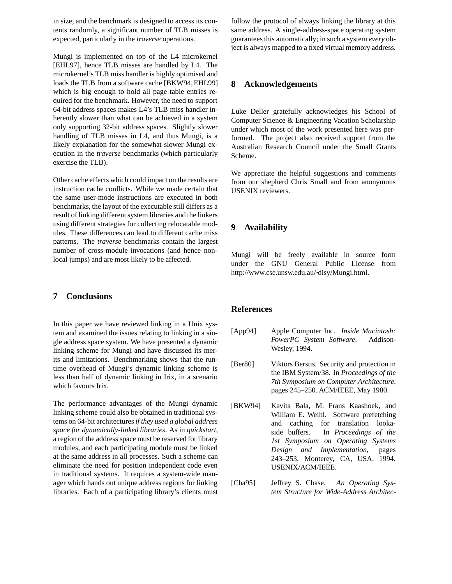in size, and the benchmark is designed to access its contents randomly, a significant number of TLB misses is expected, particularly in the *traverse* operations.

Mungi is implemented on top of the L4 microkernel [EHL97], hence TLB misses are handled by L4. The microkernel's TLB miss handler is highly optimised and loads the TLB from a software cache [BKW94, EHL99] which is big enough to hold all page table entries required for the benchmark. However, the need to support 64-bit address spaces makes L4's TLB miss handler inherently slower than what can be achieved in a system only supporting 32-bit address spaces. Slightly slower handling of TLB misses in L4, and thus Mungi, is a likely explanation for the somewhat slower Mungi execution in the *traverse* benchmarks (which particularly exercise the TLB).

Other cache effects which could impact on the results are instruction cache conflicts. While we made certain that the same user-mode instructions are executed in both benchmarks, the layout of the executable still differs as a result of linking different system libraries and the linkers using different strategies for collecting relocatable modules. These differences can lead to different cache miss patterns. The *traverse* benchmarks contain the largest number of cross-module invocations (and hence nonlocal jumps) and are most likely to be affected.

# **7 Conclusions**

In this paper we have reviewed linking in a Unix system and examined the issues relating to linking in a single address space system. We have presented a dynamic linking scheme for Mungi and have discussed its merits and limitations. Benchmarking shows that the runtime overhead of Mungi's dynamic linking scheme is less than half of dynamic linking in Irix, in a scenario which favours Irix.

The performance advantages of the Mungi dynamic linking scheme could also be obtained in traditional systems on 64-bit architectures*if they used a global address space for dynamically-linked libraries*. As in *quickstart*, a region of the address space must be reserved for library modules, and each participating module must be linked at the same address in all processes. Such a scheme can eliminate the need for position independent code even in traditional systems. It requires a system-wide manager which hands out unique address regions for linking libraries. Each of a participating library's clients must follow the protocol of always linking the library at this same address. A single-address-space operating system guarantees this automatically; in such a system *every* object is always mapped to a fixed virtual memory address.

#### **8 Acknowledgements**

Luke Deller gratefully acknowledges his School of Computer Science & Engineering Vacation Scholarship under which most of the work presented here was performed. The project also received support from the Australian Research Council under the Small Grants Scheme.

We appreciate the helpful suggestions and comments from our shepherd Chris Small and from anonymous USENIX reviewers.

# **9 Availability**

Mungi will be freely available in source form under the GNU General Public License from http://www.cse.unsw.edu.au/~disy/Mungi.html.

#### **References**

- [App94] Apple Computer Inc. *Inside Macintosh: PowerPC System Software*. Addison-Wesley, 1994.
- [Ber80] Viktors Berstis. Security and protection in the IBM System/38. In *Proceedings of the 7th Symposium on Computer Architecture*, pages 245–250. ACM/IEEE, May 1980.
- [BKW94] Kavita Bala, M. Frans Kaashoek, and William E. Weihl. Software prefetching and caching for translation lookaside buffers. In *Proceedings of the 1st Symposium on Operating Systems Design and Implementation*, pages 243–253, Monterey, CA, USA, 1994. USENIX/ACM/IEEE.
- [Cha95] Jeffrey S. Chase. *An Operating System Structure for Wide-Address Architec-*